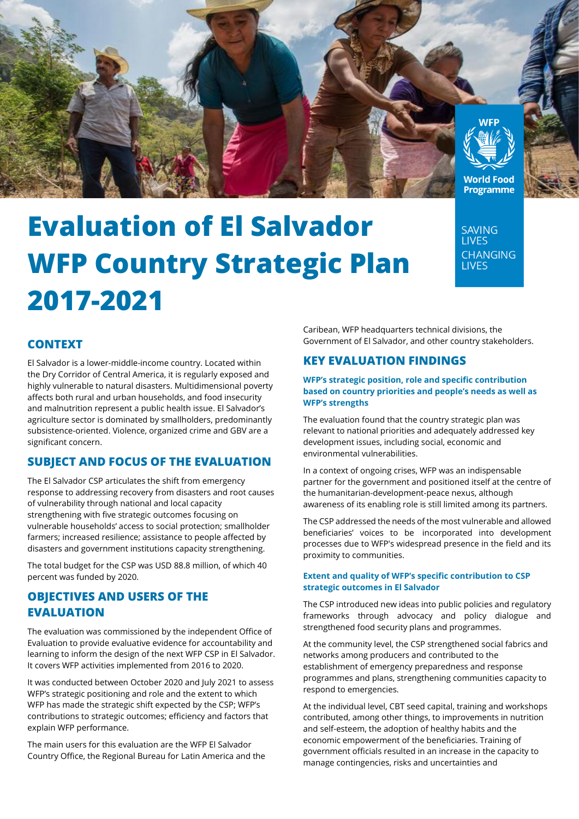

# **Evaluation of El Salvador WFP Country Strategic Plan 2017-2021**

**SAVING LIVES CHANGING I IVES** 

# **CONTEXT**

El Salvador is a lower-middle-income country. Located within the Dry Corridor of Central America, it is regularly exposed and highly vulnerable to natural disasters. Multidimensional poverty affects both rural and urban households, and food insecurity and malnutrition represent a public health issue. El Salvador's agriculture sector is dominated by smallholders, predominantly subsistence-oriented. Violence, organized crime and GBV are a significant concern.

## **SUBJECT AND FOCUS OF THE EVALUATION**

The El Salvador CSP articulates the shift from emergency response to addressing recovery from disasters and root causes of vulnerability through national and local capacity strengthening with five strategic outcomes focusing on vulnerable households' access to social protection; smallholder farmers; increased resilience; assistance to people affected by disasters and government institutions capacity strengthening.

The total budget for the CSP was USD 88.8 million, of which 40 percent was funded by 2020.

# **OBJECTIVES AND USERS OF THE EVALUATION**

The evaluation was commissioned by the independent Office of Evaluation to provide evaluative evidence for accountability and learning to inform the design of the next WFP CSP in El Salvador. It covers WFP activities implemented from 2016 to 2020.

It was conducted between October 2020 and July 2021 to assess WFP's strategic positioning and role and the extent to which WFP has made the strategic shift expected by the CSP; WFP's contributions to strategic outcomes; efficiency and factors that explain WFP performance.

The main users for this evaluation are the WFP El Salvador Country Office, the Regional Bureau for Latin America and the Caribean, WFP headquarters technical divisions, the Government of El Salvador, and other country stakeholders.

## **KEY EVALUATION FINDINGS**

**WFP's strategic position, role and specific contribution based on country priorities and people's needs as well as WFP's strengths**

The evaluation found that the country strategic plan was relevant to national priorities and adequately addressed key development issues, including social, economic and environmental vulnerabilities.

In a context of ongoing crises, WFP was an indispensable partner for the government and positioned itself at the centre of the humanitarian-development-peace nexus, although awareness of its enabling role is still limited among its partners.

The CSP addressed the needs of the most vulnerable and allowed beneficiaries' voices to be incorporated into development processes due to WFP's widespread presence in the field and its proximity to communities.

#### **Extent and quality of WFP's specific contribution to CSP strategic outcomes in El Salvador**

The CSP introduced new ideas into public policies and regulatory frameworks through advocacy and policy dialogue and strengthened food security plans and programmes.

At the community level, the CSP strengthened social fabrics and networks among producers and contributed to the establishment of emergency preparedness and response programmes and plans, strengthening communities capacity to respond to emergencies.

At the individual level, CBT seed capital, training and workshops contributed, among other things, to improvements in nutrition and self-esteem, the adoption of healthy habits and the economic empowerment of the beneficiaries. Training of government officials resulted in an increase in the capacity to manage contingencies, risks and uncertainties and